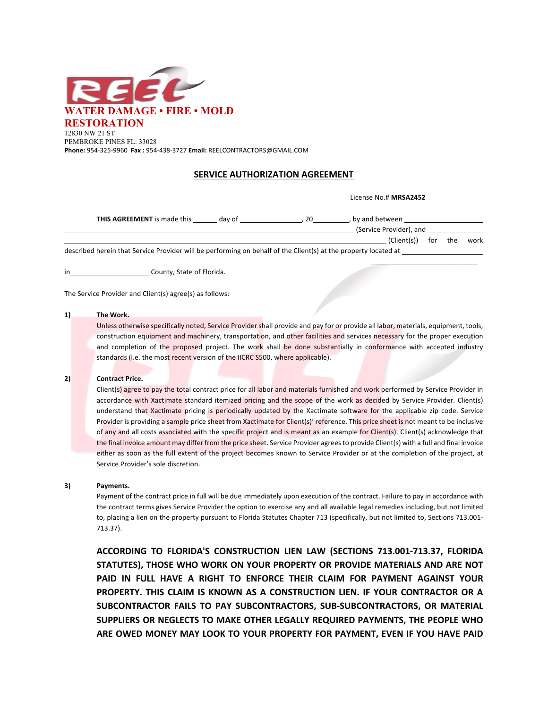

**Phone:** 954-325-9960 **Fax :** 954-438-3727 **Email:** REELCONTRACTORS@GMAIL.COM

## **SERVICE AUTHORIZATION AGREEMENT**

License No.# **MRSA2452** 

| <b>THIS AGREEMENT</b> is made this                                                                              | day of | 20 | by and between          |             |     |     |      |
|-----------------------------------------------------------------------------------------------------------------|--------|----|-------------------------|-------------|-----|-----|------|
|                                                                                                                 |        |    | (Service Provider), and |             |     |     |      |
|                                                                                                                 |        |    |                         | (Client(s)) | for | the | work |
| described herein that Service Provider will be performing on behalf of the Client(s) at the property located at |        |    |                         |             |     |     |      |

in County, State of Florida.

The Service Provider and Client(s) agree(s) as follows:

## **1) The Work.**

Unless otherwise specifically noted, Service Provider shall provide and pay for or provide all labor, materials, equipment, tools, construction equipment and machinery, transportation, and other facilities and services necessary for the proper execution and completion of the proposed project. The work shall be done substantially in conformance with accepted industry standards (i.e. the most recent version of the IICRC S500, where applicable).

### **2) Contract Price.**

Client(s) agree to pay the total contract price for all labor and materials furnished and work performed by Service Provider in accordance with Xactimate standard itemized pricing and the scope of the work as decided by Service Provider. Client(s) understand that Xactimate pricing is periodically updated by the Xactimate software for the applicable zip code. Service Provider is providing a sample price sheet from Xactimate for Client(s)' reference. This price sheet is not meant to be inclusive of any and all costs associated with the specific project and is meant as an example for Client(s). Client(s) acknowledge that the final invoice amount may differ from the price sheet. Service Provider agrees to provide Client(s) with a full and final invoice either as soon as the full extent of the project becomes known to Service Provider or at the completion of the project, at Service Provider's sole discretion.

## **3) Payments.**

Payment of the contract price in full will be due immediately upon execution of the contract. Failure to pay in accordance with the contract terms gives Service Provider the option to exercise any and all available legal remedies including, but not limited to, placing a lien on the property pursuant to Florida Statutes Chapter 713 (specifically, but not limited to, Sections 713.001- 713.37).

**ACCORDING TO FLORIDA'S CONSTRUCTION LIEN LAW (SECTIONS 713.001-713.37, FLORIDA STATUTES), THOSE WHO WORK ON YOUR PROPERTY OR PROVIDE MATERIALS AND ARE NOT PAID IN FULL HAVE A RIGHT TO ENFORCE THEIR CLAIM FOR PAYMENT AGAINST YOUR PROPERTY. THIS CLAIM IS KNOWN AS A CONSTRUCTION LIEN. IF YOUR CONTRACTOR OR A SUBCONTRACTOR FAILS TO PAY SUBCONTRACTORS, SUB-SUBCONTRACTORS, OR MATERIAL SUPPLIERS OR NEGLECTS TO MAKE OTHER LEGALLY REQUIRED PAYMENTS, THE PEOPLE WHO ARE OWED MONEY MAY LOOK TO YOUR PROPERTY FOR PAYMENT, EVEN IF YOU HAVE PAID**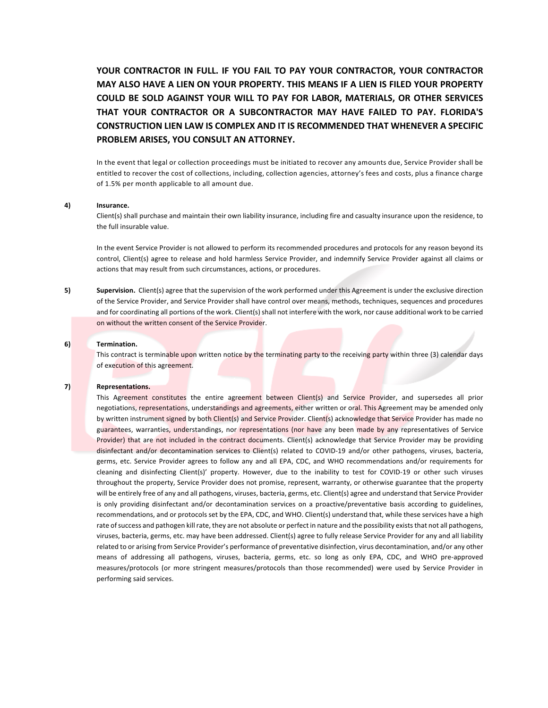**YOUR CONTRACTOR IN FULL. IF YOU FAIL TO PAY YOUR CONTRACTOR, YOUR CONTRACTOR MAY ALSO HAVE A LIEN ON YOUR PROPERTY. THIS MEANS IF A LIEN IS FILED YOUR PROPERTY COULD BE SOLD AGAINST YOUR WILL TO PAY FOR LABOR, MATERIALS, OR OTHER SERVICES THAT YOUR CONTRACTOR OR A SUBCONTRACTOR MAY HAVE FAILED TO PAY. FLORIDA'S CONSTRUCTION LIEN LAW IS COMPLEX AND IT IS RECOMMENDED THAT WHENEVER A SPECIFIC PROBLEM ARISES, YOU CONSULT AN ATTORNEY.**

In the event that legal or collection proceedings must be initiated to recover any amounts due, Service Provider shall be entitled to recover the cost of collections, including, collection agencies, attorney's fees and costs, plus a finance charge of 1.5% per month applicable to all amount due.

## **4) Insurance.**

Client(s) shall purchase and maintain their own liability insurance, including fire and casualty insurance upon the residence, to the full insurable value.

In the event Service Provider is not allowed to perform its recommended procedures and protocols for any reason beyond its control, Client(s) agree to release and hold harmless Service Provider, and indemnify Service Provider against all claims or actions that may result from such circumstances, actions, or procedures.

**5) Supervision.** Client(s) agree that the supervision of the work performed under this Agreement is under the exclusive direction of the Service Provider, and Service Provider shall have control over means, methods, techniques, sequences and procedures and for coordinating all portions of the work. Client(s) shall not interfere with the work, nor cause additional work to be carried on without the written consent of the Service Provider.

#### **6) Termination.**

This contract is terminable upon written notice by the terminating party to the receiving party within three (3) calendar days of execution of this agreement.

#### **7) Representations.**

This Agreement constitutes the entire agreement between Client(s) and Service Provider, and supersedes all prior negotiations, representations, understandings and agreements, either written or oral. This Agreement may be amended only by written instrument signed by both Client(s) and Service Provider. Client(s) acknowledge that Service Provider has made no guarantees, warranties, understandings, nor representations (nor have any been made by any representatives of Service Provider) that are not included in the contract documents. Client(s) acknowledge that Service Provider may be providing disinfectant and/or decontamination services to Client(s) related to COVID-19 and/or other pathogens, viruses, bacteria, germs, etc. Service Provider agrees to follow any and all EPA, CDC, and WHO recommendations and/or requirements for cleaning and disinfecting Client(s)' property. However, due to the inability to test for COVID-19 or other such viruses throughout the property, Service Provider does not promise, represent, warranty, or otherwise guarantee that the property will be entirely free of any and all pathogens, viruses, bacteria, germs, etc. Client(s) agree and understand that Service Provider is only providing disinfectant and/or decontamination services on a proactive/preventative basis according to guidelines, recommendations, and or protocols set by the EPA, CDC, and WHO. Client(s) understand that, while these services have a high rate of success and pathogen kill rate, they are not absolute or perfect in nature and the possibility exists that not all pathogens, viruses, bacteria, germs, etc. may have been addressed. Client(s) agree to fully release Service Provider for any and all liability related to or arising from Service Provider's performance of preventative disinfection, virus decontamination, and/or any other means of addressing all pathogens, viruses, bacteria, germs, etc. so long as only EPA, CDC, and WHO pre-approved measures/protocols (or more stringent measures/protocols than those recommended) were used by Service Provider in performing said services.